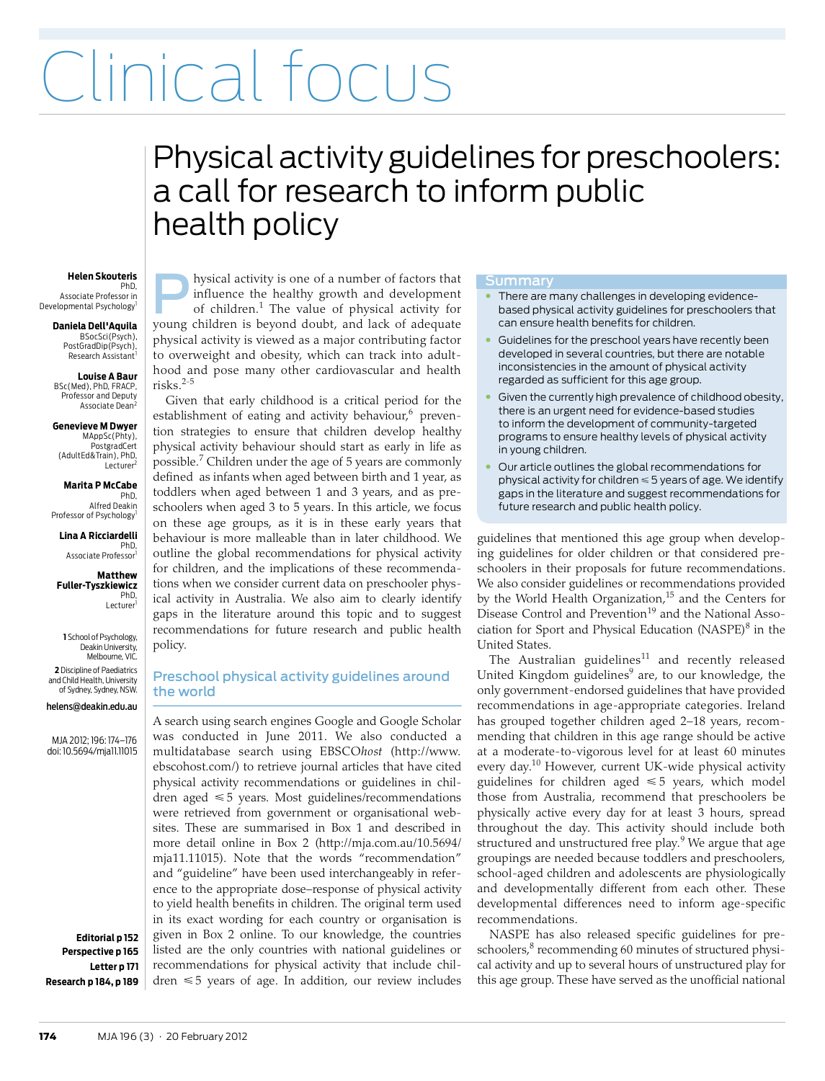# Clinical focus

## <span id="page-0-0"></span>Physical activity guidelines for preschoolers: a call for research to inform public health policy

#### **Helen Skouteris** PhD,

Associate Professor in Developmental Psychology

> **Daniela Dell'Aquila** BSocSci(Psych), PostGradDip(Psych), Research Assistant

**Louise A Baur**

BSc(Med), PhD, FRACP, Professor and Deputy Associate Dean

**Genevieve M Dwyer** MAppSc(Phty), PostgradCert (AdultEd&Train), PhD, Lecturer

#### **Marita P McCabe**

 PhD, Alfred Deakin Professor of Psychology

#### **Lina A Ricciardelli**

PhD, Associate Professor

#### **Matthew Fuller-Tyszkiewicz** PhD, Lecturer

**1** School of Psychology, Deakin University, Melbourne, VIC. **2** Discipline of Paediatrics and Child Health, University of Sydney, Sydney, NSW.

helens@deakin.edu.au

MJA 2012; 196: 174–176 doi: 10.5694/mja11.11015

**Editorial p 152 Perspective p 165 Letter p 171 Research p 184, p 189**

hysical activity is one of a number of factors that influence the healthy growth and development of children.<sup>1</sup> The value of physical activity for hysical activity is one of a number of factors that influence the healthy growth and development of children.<sup>1</sup> The value of physical activity for young children is beyond doubt, and lack of adequate physical activity is viewed as a major contributing factor to overweight and obesity, which can track into adulthood and pose many other cardiovascular and health risks. $2-5$  $2-5$ 

Given that early childhood is a critical period for the establishment of eating and activity behaviour, $6$  prevention strategies to ensure that children develop healthy physical activity behaviour should start as early in life as possible.<sup>[7](#page-2-3)</sup> Children under the age of 5 years are commonly defined as infants when aged between birth and 1 year, as toddlers when aged between 1 and 3 years, and as preschoolers when aged 3 to 5 years. In this article, we focus on these age groups, as it is in these early years that behaviour is more malleable than in later childhood. We outline the global recommendations for physical activity for children, and the implications of these recommendations when we consider current data on preschooler physical activity in Australia. We also aim to clearly identify gaps in the literature around this topic and to suggest recommendations for future research and public health policy.

#### Preschool physical activity guidelines around the world

and "guideline" have been used interchangeably in refer- $\vert$  ence to the approp[riate](#page-2-10) dose–response of physical activity to yield health benefits in children. The original term used in its exact wording for each country or organisation is  $\text{Editorial p152}$  given in Box 2 online. To our knowledge, the countries A search using search engines Google and Google Scholar was conducted in June 2011. We also conducted a multidatabase search using EBSCO*host* (http://www. ebscohost.com/) to retrieve journal articles that have cited physical activity recommendations or guidelines in children aged ≤5 years. Most guidelines/recommendations were retrieved from government or organisational websites. These are summarised in Box 1 and described in more detail online in Box 2 (http://mja.com.au/10.5694/ mja11.11015). Note that the words "recommendation" listed are the only countries with national guidelines or recommendations for physical activity that include children - 5 years of age. In addition, our review includes

#### **Summary**

- There are many challenges in developing evidencebased physical activity guidelines for preschoolers that can ensure health benefits for children.
- Guidelines for the preschool years have recently been developed in several countries, but there are notable inconsistencies in the amount of physical activity regarded as sufficient for this age group.
- Given the currently high prevalence of childhood obesity, there is an urgent need for evidence-based studies to inform the development of community-targeted programs to ensure healthy levels of physical activity in young children.
- Our article outlines the global recommendations for physical activity for children  $\leqslant$  5 years of age. We identify gaps in the literature and suggest recommendations for future research and public health policy.

guidelines that mentioned this age group when developing guidelines for older children or that considered preschoolers in their proposals for future recommendations. We also consider guidelines or recommendations provided by the World Health Organization,<sup>15</sup> and the Centers for Disease Control and Prevention $19$  and the National Asso-ciation for Sport and Physical Education (NASPE)<sup>[8](#page-2-6)</sup> in the United States.

The Australian guidelines $11$  and recently released United Kingdom guidelines $^9$  are, to our knowledge, the only government-endorsed guidelines that have provided recommendations in age-appropriate categories. Ireland has grouped together children aged 2–18 years, recommending that children in this age range should be active at a moderate-to-vigorous level for at least 60 minutes every day.[10](#page-2-9) However, current UK-wide physical activity guidelines for children aged  $\leqslant 5$  years, which model those from Australia, recommend that preschoolers be physically active every day for at least 3 hours, spread throughout the day. This activity should include both structured and unstructured free play.<sup>[9](#page-2-8)</sup> We argue that age groupings are needed because toddlers and preschoolers, school-aged children and adolescents are physiologically and developmentally different from each other. These developmental differences need to inform age-specific recommendations.

NASPE has also released specific guidelines for preschoolers,<sup>8</sup> recommending 60 minutes of structured physical activity and up to several hours of unstructured play for this age group. These have served as the unofficial national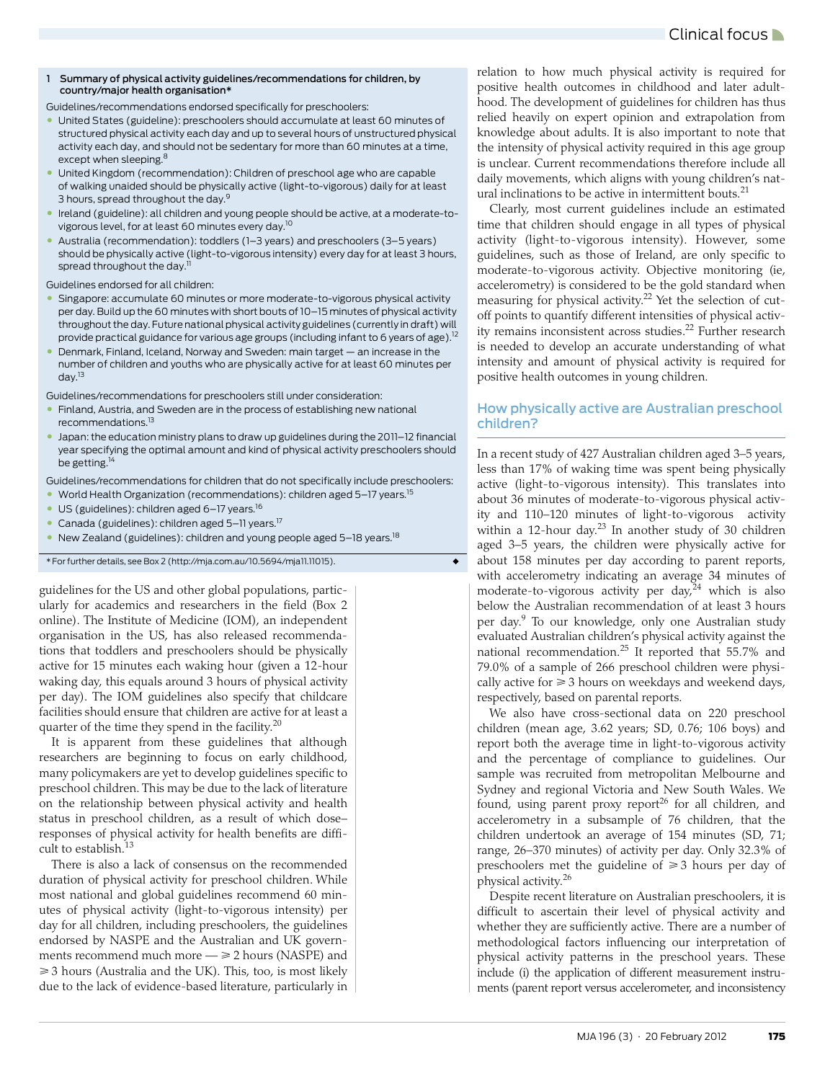### 1 Summary of physical activity guidelines/recommendations for children, by country/major health organisation\*

Guidelines/recommendations endorsed specifically for preschoolers:

- United States (guideline): preschoolers should accumulate at least 60 minutes of structured physical activity each day and up to several hours of unstructured physical activity each day, and should not be sedentary for more than 60 minutes at a time, except when sleeping.<sup>[8](#page-2-6)</sup>
- United Kingdom (recommendation): Children of preschool age who are capable of walking unaided should be physically active (light-to-vigorous) daily for at least 3 hours, spread throughout the day.[9](#page-2-8)
- Ireland (guideline): all children and young people should be active, at a moderate-tovigorous level, for at least 60 minutes every day.[10](#page-2-9)
- Australia (recommendation): toddlers (1–3 years) and preschoolers (3–5 years) should be physically active (light-to-vigorous intensity) every day for at least 3 hours, spread throughout the day.<sup>1</sup>

Guidelines endorsed for all children:

- Singapore: accumulate 60 minutes or more moderate-to-vigorous physical activity per day. Build up the 60 minutes with short bouts of 10–15 minutes of physical activity throughout the day. Future national physical activity guidelines (currently in draft) will provide practical guidance for various age groups (including infant to 6 years of age).<sup>[12](#page-2-15)</sup>
- Denmark, Finland, Iceland, Norway and Sweden: main target an increase in the number of children and youths who are physically active for at least 60 minutes per day.[13](#page-2-12)

Guidelines/recommendations for preschoolers still under consideration:

- Finland, Austria, and Sweden are in the process of establishing new national recommendations.[13](#page-2-12)
- Japan: the education ministry plans to draw up guidelines during the 2011–12 financial year specifying the optimal amount and kind of physical activity preschoolers should be getting.<sup>[14](#page-2-16)</sup>

Guidelines/recommendations for children that do not specifically include preschoolers:

- World Health Organization (recommendations): children aged 5–17 years.[15](#page-2-4)
- US (guidelines): children aged  $6-17$  years.<sup>[16](#page-2-17)</sup>
- Canada (guidelines): children aged 5-11 years.<sup>[17](#page-2-18)</sup>
- New Zealand (guidelines): children and young people aged 5-[18](#page-2-19) years.<sup>18</sup>

\* For further details, see Box 2 (http://mja.com.au/10.5694/mja11.11015). ◆

guidelines for the US and other global populations, particularly for academics and researchers in the field (Box 2 online). The Institute of Medicine (IOM), an independent organisation in the US, has also released recommendations that toddlers and preschoolers should be physically active for 15 minutes each waking hour (given a 12-hour waking day, this equals around 3 hours of physical activity per day). The IOM guidelines also specify that childcare facilities should ensure that children are active for at least a quarter of the time they spend in the facility.<sup>[20](#page-2-11)</sup>

It is apparent from these guidelines that although researchers are beginning to focus on early childhood, many policymakers are yet to develop guidelines specific to preschool children. This may be due to the lack of literature on the relationship between physical activity and health status in preschool children, as a result of which dose– responses of physical activity for health benefits are difficult to establish.<sup>13</sup>

There is also a lack of consensus on the recommended duration of physical activity for preschool children. While most national and global guidelines recommend 60 minutes of physical activity (light-to-vigorous intensity) per day for all children, including preschoolers, the guidelines endorsed by NASPE and the Australian and UK governments recommend much more  $- \ge 2$  hours (NASPE) and  $\geq$  3 hours (Australia and the UK). This, too, is most likely due to the lack of evidence-based literature, particularly in

relation to how much physical activity is required for positive health outcomes in childhood and later adulthood. The development of guidelines for children has thus relied heavily on expert opinion and extrapolation from knowledge about adults. It is also important to note that the intensity of physical activity required in this age group is unclear. Current recommendations therefore include all daily movements, which aligns with young children's nat-ural inclinations to be active in intermittent bouts.<sup>[21](#page-2-13)</sup>

Clearly, most current guidelines include an estimated time that children should engage in all types of physical activity (light-to-vigorous intensity). However, some guidelines, such as those of Ireland, are only specific to moderate-to-vigorous activity. Objective monitoring (ie, accelerometry) is considered to be the gold standard when measuring for physical activity.<sup>22</sup> Yet the selection of cutoff points to quantify different intensities of physical activity remains inconsistent across studies.<sup>22</sup> Further research is needed to develop an accurate understanding of what intensity and amount of physical activity is required for positive health outcomes in young children.

#### How physically active are Australian preschool children?

In a recent study of 427 Australian children aged 3–5 years, less than 17% of waking time was spent being physically active (light-to-vigorous intensity). This translates into about 36 minutes of moderate-to-vigorous physical activity and 110–120 minutes of light-to-vigorous activity within a 12-hour day. $^{23}$  In another study of 30 children aged 3–5 years, the children were physically active for about 158 minutes per day according to parent reports, with accelerometry indicating an average 34 minutes of moderate-to-vigorous activity per day, $24$  which is also below the Australian recommendation of at least 3 hours per day.<sup>9</sup> To our knowledge, only one Australian study evaluated Australian children's physical activity against the national recommendation.[25](#page-2-22) It reported that 55.7% and 79.0% of a sample of 266 preschool children were physically active for  $\geq 3$  hours on weekdays and weekend days, respectively, based on parental reports.

We also have cross-sectional data on 220 preschool children (mean age, 3.62 years; SD, 0.76; 106 boys) and report both the average time in light-to-vigorous activity and the percentage of compliance to guidelines. Our sample was recruited from metropolitan Melbourne and Sydney and regional Victoria and New South Wales. We found, using parent proxy report<sup>[26](#page-2-23)</sup> for all children, and accelerometry in a subsample of 76 children, that the children undertook an average of 154 minutes (SD, 71; range, 26–370 minutes) of activity per day. Only 32.3% of preschoolers met the guideline of  $\geq 3$  hours per day of physical activity.[26](#page-2-23)

Despite recent literature on Australian preschoolers, it is difficult to ascertain their level of physical activity and whether they are sufficiently active. There are a number of methodological factors influencing our interpretation of physical activity patterns in the preschool years. These include (i) the application of different measurement instruments (parent report versus accelerometer, and inconsistency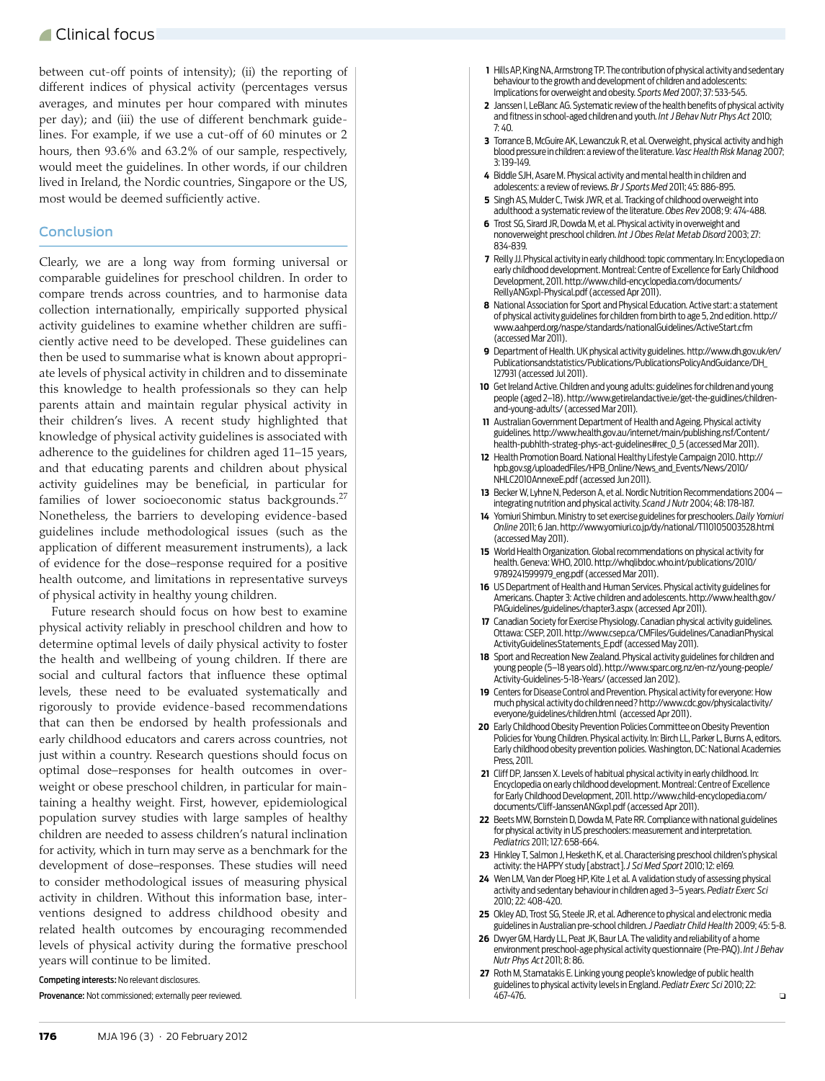between cut-off points of intensity); (ii) the reporting of different indices of physical activity (percentages versus averages, and minutes per hour compared with minutes per day); and (iii) the use of different benchmark guidelines. For example, if we use a cut-off of 60 minutes or 2 hours, then 93.6% and 63.2% of our sample, respectively, would meet the guidelines. In other words, if our children lived in Ireland, the Nordic countries, Singapore or the US, most would be deemed sufficiently active.

#### **Conclusion**

Clearly, we are a long way from forming universal or comparable guidelines for preschool children. In order to compare trends across countries, and to harmonise data collection internationally, empirically supported physical activity guidelines to examine whether children are sufficiently active need to be developed. These guidelines can then be used to summarise what is known about appropriate levels of physical activity in children and to disseminate this knowledge to health professionals so they can help parents attain and maintain regular physical activity in their children's lives. A recent study highlighted that knowledge of physical activity guidelines is associated with adherence to the guidelines for children aged 11–15 years, and that educating parents and children about physical activity guidelines may be beneficial, in particular for families of lower socioeconomic status backgrounds.<sup>[27](#page-2-10)</sup> Nonetheless, the barriers to developing evidence-based guidelines include methodological issues (such as the application of different measurement instruments), a lack of evidence for the dose–response required for a positive health outcome, and limitations in representative surveys of physical activity in healthy young children.

Future research should focus on how best to examine physical activity reliably in preschool children and how to determine optimal levels of daily physical activity to foster the health and wellbeing of young children. If there are social and cultural factors that influence these optimal levels, these need to be evaluated systematically and rigorously to provide evidence-based recommendations that can then be endorsed by health professionals and early childhood educators and carers across countries, not just within a country. Research questions should focus on optimal dose–responses for health outcomes in overweight or obese preschool children, in particular for maintaining a healthy weight. First, however, epidemiological population survey studies with large samples of healthy children are needed to assess children's natural inclination for activity, which in turn may serve as a benchmark for the development of dose–responses. These studies will need to consider methodological issues of measuring physical activity in children. Without this information base, interventions designed to address childhood obesity and related health outcomes by encouraging recommended levels of physical activity during the formative preschool years will continue to be limited.

Competing interests: No relevant disclosures.

Provenance: Not commissioned; externally peer reviewed.

- **1** Hills AP, King NA, Armstrong TP. The contribution of physical activity and sedentary behaviour to the growth and development of children and adolescents: Implications for overweight and obesity. *Sports Med* 2007; 37: 533-545.
- <span id="page-2-0"></span>**2** Janssen I, LeBlanc AG. Systematic review of the health benefits of physical activity and fitness in school-aged children and youth. *Int J Behav Nutr Phys Act* 2010; 7: 40.
- **3** Torrance B, McGuire AK, Lewanczuk R, et al. Overweight, physical activity and high blood pressure in children: a review of the literature. *Vasc Health Risk Manag* 2007; 3: 139-149.
- **4** Biddle SJH, Asare M. Physical activity and mental health in children and adolescents: a review of reviews. *Br J Sports Med* 2011; 45: 886-895.
- <span id="page-2-1"></span>**5** Singh AS, Mulder C, Twisk JWR, et al. Tracking of childhood overweight into adulthood: a systematic review of the literature. *Obes Rev* 2008; 9: 474-488.
- <span id="page-2-2"></span>**6** Trost SG, Sirard JR, Dowda M, et al. Physical activity in overweight and nonoverweight preschool children. *Int J Obes Relat Metab Disord* 2003; 27: 834-839.
- <span id="page-2-3"></span>**7** Reilly JJ. Physical activity in early childhood: topic commentary. In: Encyclopedia on early childhood development. Montreal: Centre of Excellence for Early Childhood Development, 2011. http://www.child-encyclopedia.com/documents/ ReillyANGxp1-Physical.pdf (accessed Apr 2011).
- <span id="page-2-6"></span>**8** National Association for Sport and Physical Education. Active start: a statement of physical activity guidelines for children from birth to age 5, 2nd edition. http:// www.aahperd.org/naspe/standards/nationalGuidelines/ActiveStart.cfm (accessed Mar 2011).
- <span id="page-2-8"></span>**9** Department of Health. UK physical activity guidelines. http://www.dh.gov.uk/en/ Publicationsandstatistics/Publications/PublicationsPolicyAndGuidance/DH\_ 127931 (accessed Jul 2011).
- <span id="page-2-9"></span>**10** Get Ireland Active. Children and young adults: guidelines for children and young people (aged 2–18). http://www.getirelandactive.ie/get-the-guidlines/childrenand-young-adults/ (accessed Mar 2011).
- <span id="page-2-7"></span>**11** Australian Government Department of Health and Ageing. Physical activity guidelines. http://www.health.gov.au/internet/main/publishing.nsf/Content/ health-pubhlth-strateg-phys-act-guidelines#rec\_0\_5 (accessed Mar 2011).
- <span id="page-2-15"></span>**12** Health Promotion Board. National Healthy Lifestyle Campaign 2010. http:// hpb.gov.sg/uploadedFiles/HPB\_Online/News\_and\_Events/News/2010/ NHLC2010AnnexeE.pdf (accessed Jun 2011).
- <span id="page-2-12"></span>**13** Becker W, Lyhne N, Pederson A, et al. Nordic Nutrition Recommendations 2004 integrating nutrition and physical activity. *Scand J Nutr* 2004; 48: 178-187.
- <span id="page-2-16"></span>**14** Yomiuri Shimbun. Ministry to set exercise guidelines for preschoolers. *Daily Yomiuri Online* 2011; 6 Jan. http://www.yomiuri.co.jp/dy/national/T110105003528.html (accessed May 2011).
- <span id="page-2-4"></span>**15** [World Health Organization. Global recommendations on physical activity for](http://whqlibdoc.who.int/publications/2010/9789241599979_eng.pdf)  health. Geneva: WHO, 2010. http://whqlibdoc.who.int/publications/2010/ 9789241599979\_eng.pdf (accessed Mar 2011).
- <span id="page-2-17"></span>**16** US Department of Health and Human Services. Physical activity guidelines for [Americans. Chapter 3: Active children and adolescents. http://www.health.gov/](http://www.health.gov/PAGuidelines/guidelines/chapter3.aspx) PAGuidelines/guidelines/chapter3.aspx (accessed Apr 2011).
- <span id="page-2-18"></span>**17** Canadian Society for Exercise Physiology. Canadian physical activity guidelines. [Ottawa: CSEP, 2011. http://www.csep.ca/CMFiles/Guidelines/CanadianPhysical](http://www.csep.ca/CMFiles/Guidelines/CanadianPhysicalActivityGuidelinesStatements_E.pdf)  ActivityGuidelinesStatements\_E.pdf (accessed May 2011).
- <span id="page-2-19"></span>**18** Sport and Recreation New Zealand. Physical activity guidelines for children and [young people \(5–18 years old\). http://www.sparc.org.nz/en-nz/young-people/](http://www.sparc.org.nz/en-nz/young-people/Activity-Guidelines-5-18-Years/) Activity-Guidelines-5-18-Years/ (accessed Jan 2012).
- <span id="page-2-5"></span>**19** [Centers for Disease Control and Prevention. Physical activity for everyone: How](http://www.cdc.gov/physicalactivity/everyone/guidelines/children.html)  much physical activity do children need? http://www.cdc.gov/physicalactivity/ everyone/guidelines/children.html (accessed Apr 2011).
- <span id="page-2-11"></span>**20** Early Childhood Obesity Prevention Policies Committee on Obesity Prevention Policies for Young Children. Physical activity. In: Birch LL, Parker L, Burns A, editors. Early childhood obesity prevention policies. Washington, DC: National Academies Press, 2011.
- <span id="page-2-13"></span>**21** Cliff DP, Janssen X. Levels of habitual physical activity in early childhood. In: Encyclopedia on early childhood development. Montreal: Centre of Excellence for Early Childhood Development, 2011. http://www.child-encyclopedia.com/ documents/Cliff-JanssenANGxp1.pdf (accessed Apr 2011).
- <span id="page-2-14"></span>**22** Beets MW, Bornstein D, Dowda M, Pate RR. Compliance with national guidelines for physical activity in US preschoolers: measurement and interpretation. *Pediatrics* 2011; 127: 658-664.
- <span id="page-2-20"></span>**23** Hinkley T, Salmon J, Hesketh K, et al. Characterising preschool children's physical activity: the HAPPY study [abstract]. *J Sci Med Sport* 2010; 12: e169*.*
- <span id="page-2-21"></span>**24** Wen LM, Van der Ploeg HP, Kite J, et al. A validation study of assessing physical activity and sedentary behaviour in children aged 3–5 years. *Pediatr Exerc Sci* 2010; 22: 408-420.
- <span id="page-2-22"></span>**25** Okley AD, Trost SG, Steele JR, et al. Adherence to physical and electronic media guidelines in Australian pre-school children. *J Paediatr Child Health* 2009; 45: 5-8.
- <span id="page-2-23"></span>**26** Dwyer GM, Hardy LL, Peat JK, Baur LA. The validity and reliability of a home environment preschool-age physical activity questionnaire (Pre-PAQ). *Int J Behav Nutr Phys Act* 2011; 8: 86.
- <span id="page-2-10"></span>**27** Roth M, Stamatakis E. Linking young people's knowledge of public health guidelines to physical activity levels in England. *Pediatr Exerc Sci* 2010; 22: 467-476. ❏